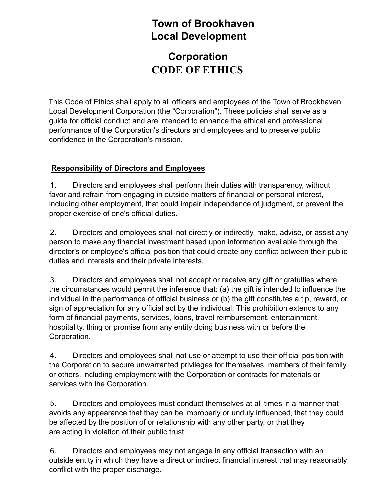## **Town of Brookhaven Local Development**

# **Corporation CODE OF ETHICS**

This Code of Ethics shall apply to all officers and employees of the Town of Brookhaven Local Development Corporation (the "Corporation"). These policies shall serve as a guide for official conduct and are intended to enhance the ethical and professional performance of the Corporation's directors and employees and to preserve public confidence in the Corporation's mission.

### **Responsibility of Directors and Employees**

1. Directors and employees shall perform their duties with transparency, without favor and refrain from engaging in outside matters of financial or personal interest, including other employment, that could impair independence of judgment, or prevent the proper exercise of one's official duties.

2. Directors and employees shall not directly or indirectly, make, advise, or assist any person to make any financial investment based upon information available through the director's or employee's official position that could create any conflict between their public duties and interests and their private interests.

3. Directors and employees shall not accept or receive any gift or gratuities where the circumstances would permit the inference that: (a) the gift is intended to influence the individual in the performance of official business or (b) the gift constitutes a tip, reward, or sign of appreciation for any official act by the individual. This prohibition extends to any form of financial payments, services, loans, travel reimbursement, entertainment, hospitality, thing or promise from any entity doing business with or before the Corporation.

4. Directors and employees shall not use or attempt to use their official position with the Corporation to secure unwarranted privileges for themselves, members of their family or others, including employment with the Corporation or contracts for materials or services with the Corporation.

5. Directors and employees must conduct themselves at all times in a manner that avoids any appearance that they can be improperly or unduly influenced, that they could be affected by the position of or relationship with any other party, or that they are acting in violation of their public trust.

6. Directors and employees may not engage in any official transaction with an outside entity in which they have a direct or indirect financial interest that may reasonably conflict with the proper discharge.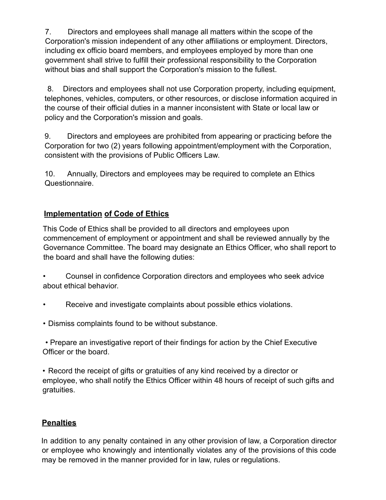7. Directors and employees shall manage all matters within the scope of the Corporation's mission independent of any other affiliations or employment. Directors, including ex officio board members, and employees employed by more than one government shall strive to fulfill their professional responsibility to the Corporation without bias and shall support the Corporation's mission to the fullest.

8. Directors and employees shall not use Corporation property, including equipment, telephones, vehicles, computers, or other resources, or disclose information acquired in the course of their official duties in a manner inconsistent with State or local law or policy and the Corporation's mission and goals.

9. Directors and employees are prohibited from appearing or practicing before the Corporation for two (2) years following appointment/employment with the Corporation, consistent with the provisions of Public Officers Law.

10. Annually, Directors and employees may be required to complete an Ethics Questionnaire.

### **Implementation of Code of Ethics**

This Code of Ethics shall be provided to all directors and employees upon commencement of employment or appointment and shall be reviewed annually by the Governance Committee. The board may designate an Ethics Officer, who shall report to the board and shall have the following duties:

- Counsel in confidence Corporation directors and employees who seek advice about ethical behavior.
- Receive and investigate complaints about possible ethics violations.
- Dismiss complaints found to be without substance.

• Prepare an investigative report of their findings for action by the Chief Executive Officer or the board.

• Record the receipt of gifts or gratuities of any kind received by a director or employee, who shall notify the Ethics Officer within 48 hours of receipt of such gifts and gratuities.

### **Penalties**

In addition to any penalty contained in any other provision of law, a Corporation director or employee who knowingly and intentionally violates any of the provisions of this code may be removed in the manner provided for in law, rules or regulations.